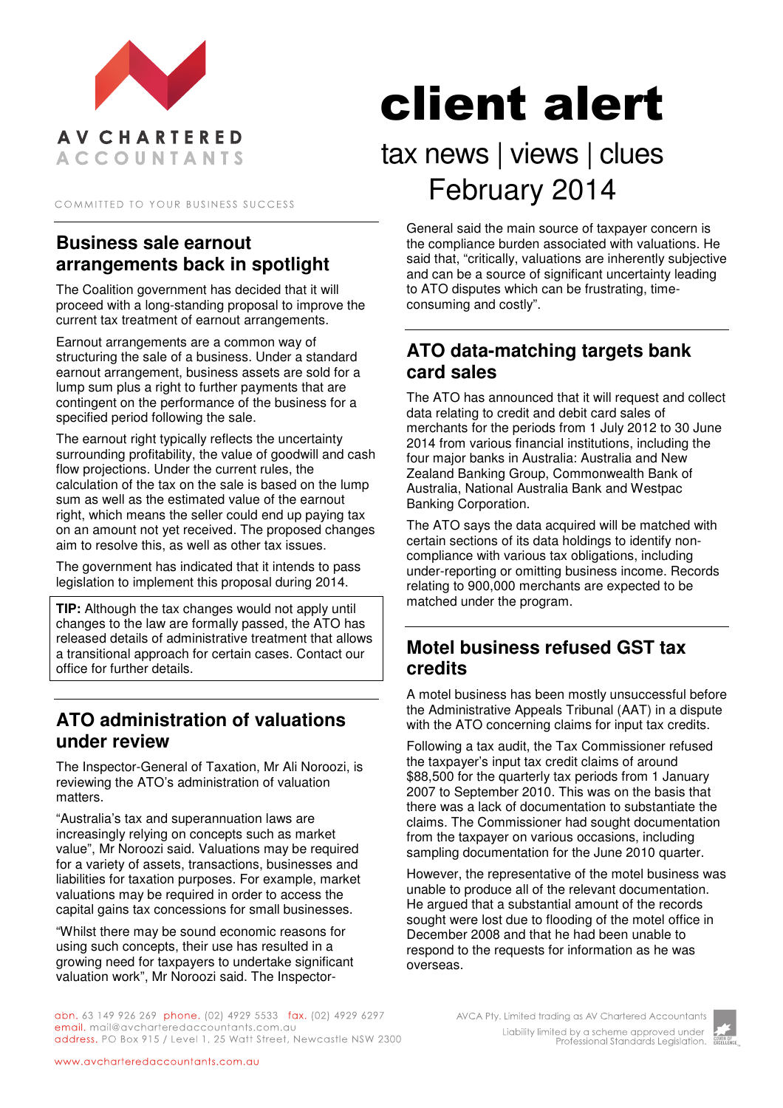

COMMITTED TO YOUR BUSINESS SUCCESS

## **Business sale earnout arrangements back in spotlight**

The Coalition government has decided that it will proceed with a long-standing proposal to improve the current tax treatment of earnout arrangements.

Earnout arrangements are a common way of structuring the sale of a business. Under a standard earnout arrangement, business assets are sold for a lump sum plus a right to further payments that are contingent on the performance of the business for a specified period following the sale.

The earnout right typically reflects the uncertainty surrounding profitability, the value of goodwill and cash flow projections. Under the current rules, the calculation of the tax on the sale is based on the lump sum as well as the estimated value of the earnout right, which means the seller could end up paying tax on an amount not yet received. The proposed changes aim to resolve this, as well as other tax issues.

The government has indicated that it intends to pass legislation to implement this proposal during 2014.

**TIP:** Although the tax changes would not apply until changes to the law are formally passed, the ATO has released details of administrative treatment that allows a transitional approach for certain cases. Contact our office for further details.

#### **ATO administration of valuations under review**

The Inspector-General of Taxation, Mr Ali Noroozi, is reviewing the ATO's administration of valuation matters.

"Australia's tax and superannuation laws are increasingly relying on concepts such as market value", Mr Noroozi said. Valuations may be required for a variety of assets, transactions, businesses and liabilities for taxation purposes. For example, market valuations may be required in order to access the capital gains tax concessions for small businesses.

"Whilst there may be sound economic reasons for using such concepts, their use has resulted in a growing need for taxpayers to undertake significant valuation work", Mr Noroozi said. The Inspector-

# client alert

# tax news | views | clues February 2014

General said the main source of taxpayer concern is the compliance burden associated with valuations. He said that, "critically, valuations are inherently subjective and can be a source of significant uncertainty leading to ATO disputes which can be frustrating, timeconsuming and costly".

#### **ATO data-matching targets bank card sales**

The ATO has announced that it will request and collect data relating to credit and debit card sales of merchants for the periods from 1 July 2012 to 30 June 2014 from various financial institutions, including the four major banks in Australia: Australia and New Zealand Banking Group, Commonwealth Bank of Australia, National Australia Bank and Westpac Banking Corporation.

The ATO says the data acquired will be matched with certain sections of its data holdings to identify noncompliance with various tax obligations, including under-reporting or omitting business income. Records relating to 900,000 merchants are expected to be matched under the program.

#### **Motel business refused GST tax credits**

A motel business has been mostly unsuccessful before the Administrative Appeals Tribunal (AAT) in a dispute with the ATO concerning claims for input tax credits.

Following a tax audit, the Tax Commissioner refused the taxpayer's input tax credit claims of around \$88,500 for the quarterly tax periods from 1 January 2007 to September 2010. This was on the basis that there was a lack of documentation to substantiate the claims. The Commissioner had sought documentation from the taxpayer on various occasions, including sampling documentation for the June 2010 quarter.

However, the representative of the motel business was unable to produce all of the relevant documentation. He argued that a substantial amount of the records sought were lost due to flooding of the motel office in December 2008 and that he had been unable to respond to the requests for information as he was overseas.

abn. 63 149 926 269 phone. (02) 4929 5533 fax. (02) 4929 6297 email. mail@avcharteredaccountants.com.au address. PO Box 915 / Level 1, 25 Watt Street, Newcastle NSW 2300